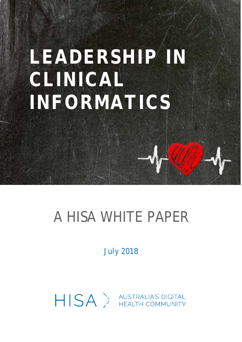# **LEADERSHIP IN CLINICAL INFORMATICS**

# A HISA WHITE PAPER

July 2018

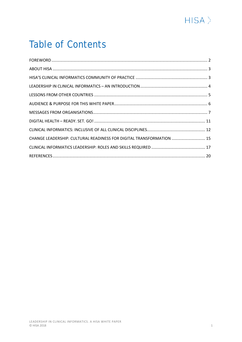

### Table of Contents

| CHANGE LEADERSHIP: CULTURAL READINESS FOR DIGITAL TRANSFORMATION  15 |  |
|----------------------------------------------------------------------|--|
|                                                                      |  |
|                                                                      |  |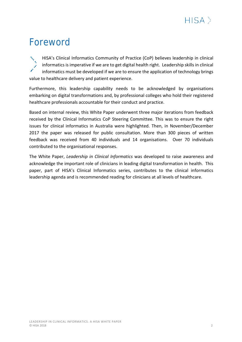

### Foreword

HISA's Clinical Informatics Community of Practice (CoP) believes leadership in clinical informatics is imperative if we are to get digital health right. Leadership skills in clinical informatics must be developed if we are to ensure the application of technology brings value to healthcare delivery and patient experience.

Furthermore, this leadership capability needs to be acknowledged by organisations embarking on digital transformations and, by professional colleges who hold their registered healthcare professionals accountable for their conduct and practice.

Based on internal review, this White Paper underwent three major iterations from feedback received by the Clinical Informatics CoP Steering Committee. This was to ensure the right issues for clinical informatics in Australia were highlighted. Then, in November/December 2017 the paper was released for public consultation. More than 300 pieces of written feedback was received from 40 individuals and 14 organisations. Over 70 individuals contributed to the organisational responses.

The White Paper, *Leadership in Clinical Informatics* was developed to raise awareness and acknowledge the important role of clinicians in leading digital transformation in health. This paper, part of HISA's Clinical Informatics series, contributes to the clinical informatics leadership agenda and is recommended reading for clinicians at all levels of healthcare.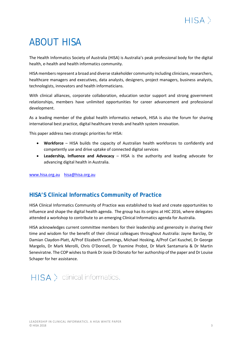# ABOUT HISA

The Health Informatics Society of Australia (HISA) is Australia's peak professional body for the digital health, e-health and health informatics community.

HISA members represent a broad and diverse stakeholder community including clinicians, researchers, healthcare managers and executives, data analysts, designers, project managers, business analysts, technologists, innovators and health informaticians.

With clinical alliances, corporate collaboration, education sector support and strong government relationships, members have unlimited opportunities for career advancement and professional development.

As a leading member of the global health informatics network, HISA is also the forum for sharing international best practice, digital healthcare trends and health system innovation.

This paper address two strategic priorities for HISA:

- **Workforce** HISA builds the capacity of Australian health workforces to confidently and competently use and drive uptake of connected digital services
- **Leadership, Influence and Advocacy** HISA is the authority and leading advocate for advancing digital health in Australia.

[www.hisa.org.au](http://www.hisa.org.au/) [hisa@hisa.org.au](mailto:hisa@hisa.org.au) 

#### **HISA'S Clinical Informatics Community of Practice**

HISA Clinical Informatics Community of Practice was established to lead and create opportunities to influence and shape the digital health agenda. The group has its origins at HIC 2016, where delegates attended a workshop to contribute to an emerging Clinical Informatics agenda for Australia.

HISA acknowledges current committee members for their leadership and generosity in sharing their time and wisdom for the benefit of their clinical colleagues throughout Australia: Jayne Barclay, Dr Damian Claydon-Platt, A/Prof Elizabeth Cummings, Michael Hosking, A/Prof Carl Kuschel, Dr George Margelis, Dr Mark Merolli, Chris O'Donnell, Dr Yasmine Probst, Dr Mark Santamaria & Dr Martin Seneviratne. The COP wishes to thank Dr Josie Di Donato for her authorship of the paper and Dr Louise Schaper for her assistance.

### HISA > clinical informatics.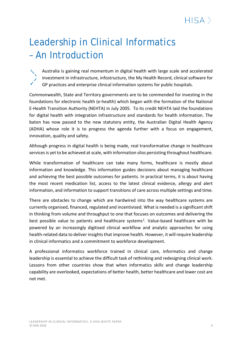# Leadership in Clinical Informatics – An Introduction

Australia is gaining real momentum in digital health with large scale and accelerated investment in infrastructure, infostructure, the My Health Record, clinical software for GP practices and enterprise clinical information systems for public hospitals.

Commonwealth, State and Territory governments are to be commended for investing in the foundations for electronic health (e-health) which began with the formation of the National E-Health Transition Authority (NEHTA) in July 2005. To its credit NEHTA laid the foundations for digital health with integration infrastructure and standards for health information. The baton has now passed to the new statutory entity, the Australian Digital Health Agency (ADHA) whose role it is to progress the agenda further with a focus on engagement, innovation, quality and safety.

Although progress in digital health is being made, real transformative change in healthcare services is yet to be achieved at scale, with information silos persisting throughout healthcare.

While transformation of healthcare can take many forms, healthcare is mostly about information and knowledge. This information guides decisions about managing healthcare and achieving the best possible outcomes for patients. In practical terms, it is about having the most recent medication list, access to the latest clinical evidence, allergy and alert information, and information to support transitions of care across multiple settings and time.

There are obstacles to change which are hardwired into the way healthcare systems are currently organised, financed, regulated and incentivised. What is needed is a significant shift in thinking from volume and throughput to one that focuses on outcomes and delivering the best possible value to patients and healthcare systems<sup>1</sup>. Value-based healthcare with be powered by an increasingly digitised clinical workflow and analytic approaches for using health-related data to deliver insights that improve health. However, it will require leadership in clinical informatics and a commitment to workforce development.

A professional informatics workforce trained in clinical care, informatics and change leadership is essential to achieve the difficult task of rethinking and redesigning clinical work. Lessons from other countries show that when informatics skills and change leadership capability are overlooked, expectations of better health, better healthcare and lower cost are not met.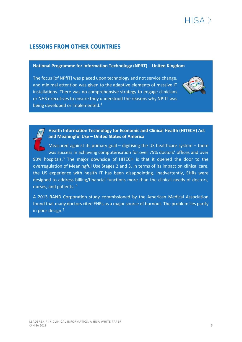

#### **LESSONS FROM OTHER COUNTRIES**

#### **National Programme for Information Technology (NPfIT) – United Kingdom**

The focus [of NPfIT] was placed upon technology and not service change, and minimal attention was given to the adaptive elements of massive IT installations. There was no comprehensive strategy to engage clinicians or NHS executives to ensure they understood the reasons why NPfIT was being developed or implemented.<sup>[2](#page-21-1)</sup>



#### **Health Information Technology for Economic and Clinical Health (HITECH) Act and Meaningful Use – United States of America**

Measured against its primary goal – digitising the US healthcare system – there was success in achieving computerisation for over 75% doctors' offices and over 90% hospitals. $3$  The major downside of HITECH is that it opened the door to the overregulation of Meaningful Use Stages 2 and 3. In terms of its impact on clinical care, the US experience with health IT has been disappointing. Inadvertently, EHRs were designed to address billing/financial functions more than the clinical needs of doctors, nurses, and patients. [4](#page-21-3)

A 2013 RAND Corporation study commissioned by the American Medical Association found that many doctors cited EHRs as a major source of burnout. The problem lies partly in poor design.<sup>[5](#page-21-4)</sup>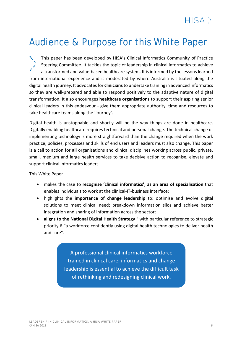

### Audience & Purpose for this White Paper

This paper has been developed by HISA's Clinical Informatics Community of Practice Steering Committee. It tackles the topic of leadership in clinical informatics to achieve a transformed and value-based healthcare system. It is informed by the lessons learned from international experience and is moderated by where Australia is situated along the digital health journey. It advocates for **clinicians** to undertake training in advanced informatics so they are well-prepared and able to respond positively to the adaptive nature of digital transformation. It also encourages **healthcare organisations** to support their aspiring senior clinical leaders in this endeavour - give them appropriate authority, time and resources to take healthcare teams along the 'journey'.

Digital health is unstoppable and shortly will be the way things are done in healthcare. Digitally enabling healthcare requires technical and personal change. The technical change of implementing technology is more straightforward than the change required when the work practice, policies, processes and skills of end users and leaders must also change. This paper is a call to action for **all** organisations and clinical disciplines working across public, private, small, medium and large health services to take decisive action to recognise, elevate and support clinical informatics leaders.

This White Paper

- makes the case to **recognise 'clinical informatics', as an area of specialisation** that enables individuals to work at the clinical-IT-business interface;
- highlights the **importance of change leadership** to: optimise and evolve digital solutions to meet clinical need; breakdown information silos and achieve better integration and sharing of information across the sector;
- **aligns to the National Digital Health Strategy** [6](#page-21-5) with particular reference to strategic priority 6 "a workforce confidently using digital health technologies to deliver health and care".

A professional clinical informatics workforce trained in clinical care, informatics and change leadership is essential to achieve the difficult task of rethinking and redesigning clinical work.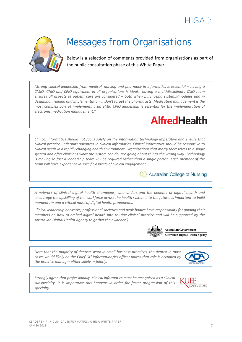



### Messages from Organisations

Below is a selection of comments provided from organisations as part of the public consultation phase of this White Paper.

*"Strong clinical leadership from medical, nursing and pharmacy in informatics is essential – having a CMIO, CNIO and CPIO equivalent in all organisations is ideal… having a multidisciplinary CXIO team ensures all aspects of patient care are considered – both when purchasing systems/modules and in designing, training and implementation…. Don't forget the pharmacists. Medication management is the most complex part of implementing an eMR. CPIO leadership is essential for the implementation of electronic medication management."*

# **AlfredHealth**

*Clinical informatics should not focus solely on the information technology imperative and ensure that clinical practice underpins advances in clinical informatics. Clinical informatics should be responsive to clinical needs in a rapidly changing health environment. Organisations that marry themselves to a single system and offer clinicians what the system can do, are going about things the wrong way. Technology is moving so fast a leadership team will be required rather than a single person. Each member of the team will have experience in specific aspects of clinical engagement.*

**Australian College of Nursing** 

*A network of clinical digital health champions, who understand the benefits of digital health and encourage the upskilling of the workforce across the health system into the future, is important to build momentum and a critical mass of digital health proponents.* 

*Clinical leadership networks, professional societies and peak bodies have responsibility for guiding their members on how to embed digital health into routine clinical practice and will be supported by the Australian Digital Health Agency to gather the evidence.)*



**Australian Government Australian Digital Health Agency** 

*Note that the majority of dentists work in small business practices, the dentist in most cases would likely be the Chief "X" information/ics officer unless that role is occupied by the practice manager either solely or jointly.*



*Strongly agree that professionally, clinical informatics must be recognised as a clinical subspecialty. It is imperative this happens in order for faster progression of this specialty.*

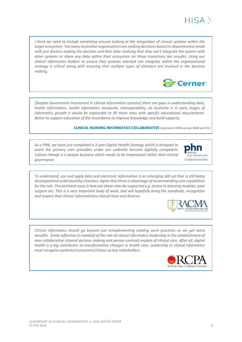





**CLINICAL NURSING INFORMATICS COLLABORATIVE** *(represent CNIOs across NSW and Vic)*

*As a PHN, we have just completed a 3-year Digital Health Strategy which is designed to assist the primary care providers under our umbrella become digitally competent. Culture change is a people business which needs to be emphasised rather than clinical governance.*

*To understand, use and apply data and electronic information is an emerging skill set that is still being developed and understood by clinicians. Agree that there is advantage of recommending core capabilities for the role. The pertinent issue is how can these roles be supported e.g. access to learning modules, peer support etc. This is a very important body of work, and will hopefully bring the standards, recognition and respect that clinical informaticians should have and deserve.*

*Clinical informatics should go beyond just reimplementing existing work practices so we get extra*  benefits. Some reflection [is needed] of the role of clinical informatics leadership in the establishment of *new collaborative (shared decision making and person-centred) models of clinical care. After all, digital health is a big contributor to transformative changes in health care. Leadership in clinical informatics must recognise patients/consumers/citizens as key stakeholders.*









 $\geq$  Cerner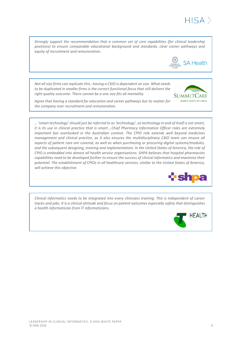

*Strongly support the recommendation that a common set of core capabilities (for clinical leadership positions) to ensure comparable educational background and standards, clear career pathways and equity of recruitment and remuneration.*



*Not all size firms can replicate this…having a CXIO is dependent on size. What needs to be duplicated in smaller firms is the correct functional focus that still delivers the right quality outcome. There cannot be a one size fits all mentality.*



*Agree that having a standard for education and career pathways but its matter for the company over recruitment and remuneration.*

*… 'smart technology' should just be referred to as 'technology', as technology in and of itself is not smart, it is its use in clinical practice that is smart.…Chief Pharmacy Information Officer roles are extremely important but overlooked in the Australian context. The CPIO role extends well beyond medicines management and clinical practice, as it also ensures the multidisciplinary CXIO team can ensure all aspects of patient care are covered, as well as when purchasing or procuring digital systems/modules, and the subsequent designing, training and implementation. In the United States of America, the role of CPIO is embedded into almost all health service organisations. SHPA believes that hospital pharmacists capabilities need to be developed further to ensure the success of clinical informatics and maximise their potential. The establishment of CPIOs in all healthcare services, similar to the United States of America, will achieve this objective.*



*Clinical informatics needs to be integrated into every clinicians training. This is independent of career tracks and jobs. It is a clinical attitude and focus on patient outcomes especially safety that distinguishes a health informatician from IT informaticians.*

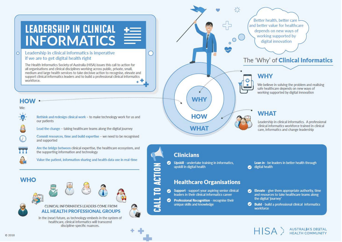# **LEADERSHIP IN CLINICAL INFORMATICS**

#### Leadership in clinical informatics is imperative if we are to get digital health right

The Health Informatics Society of Australia (HISA) issues this call to action for all organisations and clinical disciplines working across public, private, small, medium and large health services to take decisive action to recognise, elevate and support clinical informatics leaders and to build a professional clinical informatics workforce.

#### **HOW**



We:

 $\circ$ 

Rethink and redesign clinical work - to make technology work for us and our patients



Commit resources, time and build expertise - we need to be recognised and supported



Are the bridge between clinical expertise, the healthcare ecosystem, and the supporting information and technology

Value the patient, information sharing and health data use in real-time



In the (near) future, as technology embeds in the system of healthcare, clinical informatics will transcend discipline-specific nuances.





#### The 'Why' of Clinical Informatics

#### **WHY**



兴

We believe in solving the problem and realising safe healthcare depends on new ways of working supported by digital innovation

#### **WHAT**

Leadership in clinical informatics. A professional clinical informatics workforce trained in clinical care, informatics and change leadership

#### **Clinicians**

**O** Upskill - undertake training in informatics, upskill in digital health

**WHY** 

**HOW** 

**WHAT** 

#### **Healthcare Organisations**

- Support support your aspiring senior clinical<br>leaders in their clinical informatics career
- **2** Professional Recognition recognise their unique skills and knowledge

#### Lean in - be leaders in better health through

digital health

- $\bullet$  Elevate give them appropriate authority, time and resources to take healthcare teams along the digital 'journey'
- Build build a professional clinical informatics workforce

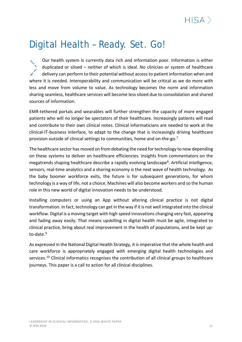## Digital Health – Ready. Set. Go!

Our health system is currently data rich and information poor. Information is either duplicated or siloed – neither of which is ideal. No clinician or system of healthcare delivery can perform to their potential without access to patient information when and where it is needed. Interoperability and communication will be critical as we do more with less and move from volume to value. As technology becomes the norm and information sharing seamless, healthcare services will become less siloed due to consolidation and shared sources of information.

EMR-tethered portals and wearables will further strengthen the capacity of more engaged patients who will no longer be spectators of their healthcare. Increasingly patients will read and contribute to their own clinical notes. Clinical informaticians are needed to work at the clinical-IT-business interface, to adapt to the change that is increasingly driving healthcare provision outside of clinical settings to communities, home and on-the-go.<sup>[7](#page-21-6)</sup>

The healthcare sector has moved on from debating the need for technology to now depending on these systems to deliver on healthcare efficiencies. Insights from commentators on the megatrends shaping healthcare describe a rapidly evolving landscape<sup>[8](#page-21-7)</sup>. Artificial intelligence, sensors, real-time analytics and a sharing economy is the next wave of health technology. As the baby boomer workforce exits, the future is for subsequent generations, for whom technology is a way of life, not a choice. Machines will also become workers and so the human role in this new world of digital innovation needs to be understood.

Installing computers or using an App without altering clinical practice is not digital transformation. In fact, technology can get in the way if it is not well integrated into the clinical workflow. Digital is a moving target with high speed innovations changing very fast, appearing and fading away easily. That means upskilling in digital health must be agile, integrated to clinical practice, bring about real improvement in the health of populations, and be kept upto-date.[9](#page-21-8)

As expressed in the National Digital Health Strategy, it is imperative that the whole health and care workforce is appropriately engaged with emerging digital health technologies and services.<sup>[10](#page-21-9)</sup> Clinical informatics recognises the contribution of all clinical groups to healthcare journeys. This paper is a call to action for all clinical disciplines.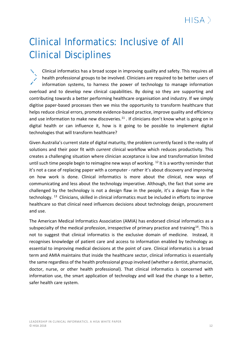

# Clinical Informatics: Inclusive of All Clinical Disciplines

Clinical informatics has a broad scope in improving quality and safety. This requires all health professional groups to be involved. Clinicians are required to be better users of information systems, to harness the power of technology to manage information overload and to develop new clinical capabilities. By doing so they are supporting and contributing towards a better performing healthcare organisation and industry. If we simply digitise paper-based processes then we miss the opportunity to transform healthcare that helps reduce clinical errors, promote evidence-based practice, improve quality and efficiency and use information to make new discoveries.<sup>[11](#page-21-10)</sup>. If clinicians don't know what is going on in digital health or can influence it, how is it going to be possible to implement digital technologies that will transform healthcare?

Given Australia's current state of digital maturity, the problem currently faced is the reality of solutions and their poor fit with *current* clinical workflow which reduces productivity. This creates a challenging situation where clinician acceptance is low and transformation limited until such time people begin to reimagine new ways of working.  $12$  It is a worthy reminder that it's not a case of replacing paper with a computer - rather it's about discovery and improving on how work is done. Clinical informatics is more about the clinical, new ways of communicating and less about the technology imperative. Although, the fact that some are challenged by the technology is not a design flaw in the people, it's a design flaw in the technology. [13](#page-21-12) Clinicians, skilled in clinical informatics must be included in efforts to improve healthcare so that clinical need influences decisions about technology design, procurement and use.

The American Medical Informatics Association (AMIA) has endorsed clinical informatics as a subspecialty of the medical profession, irrespective of primary practice and training<sup>14</sup>. This is not to suggest that clinical informatics is the exclusive domain of medicine. Instead, it recognises knowledge of patient care and access to information enabled by technology as essential to improving medical decisions at the point of care. Clinical informatics is a broad term and AMIA maintains that inside the healthcare sector, clinical informatics is essentially the same regardless of the health professional group involved (whether a dentist, pharmacist, doctor, nurse, or other health professional). That clinical informatics is concerned with information use, the smart application of technology and will lead the change to a better, safer health care system.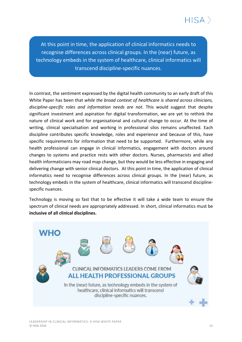

At this point in time, the application of clinical informatics needs to recognise differences across clinical groups. In the (near) future, as technology embeds in the system of healthcare, clinical informatics will transcend discipline-specific nuances.

In contrast, the sentiment expressed by the digital health community to an early draft of this White Paper has been that *while the broad context of healthcare is shared across clinicians, discipline-specific roles and information needs are not*. This would suggest that despite significant investment and aspiration for digital transformation, we are yet to rethink the nature of clinical work and for organisational and cultural change to occur. At the time of writing, clinical specialisation and working in professional silos remains unaffected. Each discipline contributes specific knowledge, roles and experience and because of this, have specific requirements for information that need to be supported. Furthermore, while any health professional can engage in clinical informatics, engagement with doctors around changes to systems and practice rests with other doctors. Nurses, pharmacists and allied health informaticians may road map change, but they would be less effective in engaging and delivering change with senior clinical doctors. At this point in time, the application of clinical informatics need to recognise differences across clinical groups. In the (near) future, as technology embeds in the system of healthcare, clinical informatics will transcend disciplinespecific nuances.

Technology is moving so fast that to be effective it will take a wide team to ensure the spectrum of clinical needs are appropriately addressed. In short, clinical informatics must be **inclusive of all clinical disciplines.** 

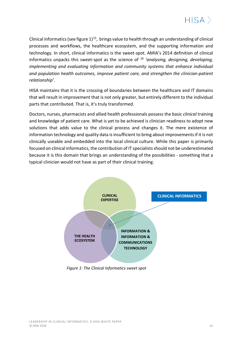

Clinical informatics (see figure  $1$ )<sup>[15](#page-21-14)</sup>, brings value to health through an understanding of clinical processes and workflows, the healthcare ecosystem, and the supporting information and technology. In short, clinical informatics is the sweet-spot. AMIA's 2014 definition of clinical informatics unpacks this sweet-spot as the science of [16](#page-21-15) *'analysing, designing, developing, implementing and evaluating information and community systems that enhance individual and population health outcomes, improve patient care, and strengthen the clinician-patient relationship'*.

HISA maintains that it is the crossing of boundaries between the healthcare and IT domains that will result in improvement that is not only greater, but entirely different to the individual parts that contributed. That is, it's truly transformed.

Doctors, nurses, pharmacists and allied health professionals possess the basic *clinical* training and knowledge of patient care. What is yet to be achieved is clinician readiness to adopt new solutions that adds value to the clinical process and changes it. The mere existence of information technology and quality data is insufficient to bring about improvements if it is not clinically useable and embedded into the local clinical culture. While this paper is primarily focused on clinical informatics, the contribution of IT specialists should not be underestimated because it is this domain that brings an understanding of the possibilities - something that a typical clinician would not have as part of their clinical training.



*Figure 1: The Clinical Informatics sweet spot*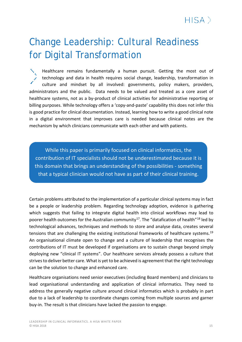# Change Leadership: Cultural Readiness for Digital Transformation

Healthcare remains fundamentally a human pursuit. Getting the most out of technology and data in health requires social change, leadership, transformation in culture and mindset by all involved: governments, policy makers, providers, administrators and the public. Data needs to be valued and treated as a core asset of healthcare systems, not as a by-product of clinical activities for administrative reporting or billing purposes. While technology offers a 'copy-and-paste' capability this does not infer this is good practice for clinical documentation. Instead, learning how to write a good clinical note in a digital environment that improves care is needed because clinical notes are the mechanism by which clinicians communicate with each other and with patients.

While this paper is primarily focused on clinical informatics, the contribution of IT specialists should not be underestimated because it is this domain that brings an understanding of the possibilities - something that a typical clinician would not have as part of their clinical training.

Certain problems attributed to the implementation of a particular clinical systems may in fact be a people or leadership problem. Regarding technology adoption, evidence is gathering which suggests that failing to integrate digital health into clinical workflows may lead to poorer health outcomes for the Australian community<sup>17</sup>. The "datafication of health"<sup>[18](#page-21-17)</sup> led by technological advances, techniques and methods to store and analyse data, creates several tensions that are challenging the existing institutional frameworks of healthcare systems.<sup>[19](#page-21-18)</sup> An organisational climate open to change and a culture of leadership that recognises the contributions of IT must be developed if organisations are to sustain change beyond simply deploying new "clinical IT systems". Our healthcare services already possess a culture that strives to deliver better care. What is yet to be achieved is agreement that the right technology can be the solution to change and enhanced care.

Healthcare organisations need senior executives (including Board members) and clinicians to lead organisational understanding and application of clinical informatics. They need to address the generally negative culture around clinical informatics which is probably in part due to a lack of leadership to coordinate changes coming from multiple sources and garner buy-in. The result is that clinicians have lacked the passion to engage.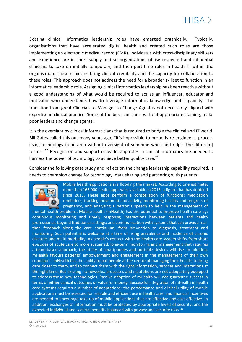

Existing clinical informatics leadership roles have emerged organically. Typically, organisations that have accelerated digital health and created such roles are those implementing an electronic medical record (EMR). Individuals with cross-disciplinary skillsets and experience are in short supply and so organisations utilise respected and influential clinicians to take on initially temporary, and then part-time roles in health IT within the organisation. These clinicians bring clinical credibility and the capacity for collaboration to these roles. This approach does not address the need for a broader skillset to function in an informatics leadership role. Assigning clinical informatics leadership has been reactive without a good understanding of what would be required to act as an influencer, educator and motivator who understands how to leverage informatics knowledge and capability. The transition from great Clinician to Manager to Change Agent is not necessarily aligned with expertise in clinical practice. Some of the best clinicians, without appropriate training, make poor leaders and change agents.

It is the oversight by clinical informaticians that is required to bridge the clinical and IT world. Bill Gates called this out many years ago, "it's impossible to properly re-engineer a process using technology in an area without oversight of someone who can bridge [the different] teams."[20](#page-21-19) Recognition and support of leadership roles in clinical informatics are needed to harness the power of technology to achieve better quality care.<sup>[21](#page-21-20)</sup>

Consider the following case study and reflect on the change leadership capability required. It needs to champion change for technology, data sharing and partnering with patients:



Mobile health applications are flooding the market. According to one estimate, more than 165 000 health apps were available in 2015, a figure that has doubled since 2013. These apps perform a constellation of functions: medication reminders, tracking movement and activity, monitoring fertility and progress of pregnancy, and analysing a person's speech to help in the management of

mental health problems. Mobile health (mHealth) has the potential to improve health care by: continuous monitoring and timely response; interactions between patients and health professionals beyond traditional settings; and communication with systems that can provide realtime feedback along the care continuum, from prevention to diagnosis, treatment and monitoring. Such potential is welcome at a time of rising prevalence and incidence of chronic diseases and multi-morbidity. As people's contact with the health care system shifts from short episodes of acute care to more sustained, long-term monitoring and management that requires a team-based approach, the utility of smartphones and portable devices will rise. In addition, mHealth favours patients' empowerment and engagement in the management of their own conditions. mHealth has the ability to put people at the centre of managing their health, to bring care closer to them, and to connect them with the right information, services and institutions at the right time. But existing frameworks, processes and institutions are not adequately equipped to address these new technologies. Passive adoption of mHealth will not guarantee success in terms of either clinical outcomes or value for money. Successful integration of mHealth in health care systems requires a number of adaptations: the performance and clinical utility of mobile applications must be assessed for reliable and efficient use in health care, and financial incentives are needed to encourage take-up of mobile applications that are effective and cost-effective. In addition, exchanges of information must be protected by appropriate levels of security, and the expected individual and societal benefits balanced with privacy and security risks. $^{22}$  $^{22}$  $^{22}$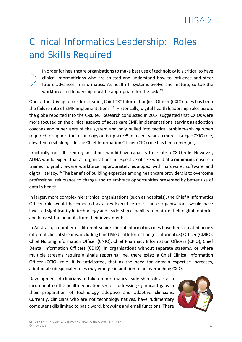

# Clinical Informatics Leadership: Roles and Skills Required



In order for healthcare organisations to make best use of technology it is critical to have clinical informaticians who are trusted and understand how to influence and steer future advances in informatics. As health IT systems evolve and mature, so too the workforce and leadership must be appropriate for the task.<sup>[23](#page-21-22)</sup>

One of the driving forces for creating Chief "X" Information(ics) Officer (CXIO) roles has been the failure rate of EMR implementations.<sup>[24](#page-21-23)</sup> Historically, digital health leadership roles across the globe reported into the C-suite. Research conducted in 2014 suggested that CXIOs were more focused on the clinical aspects of acute care EMR implementations, serving as adoption coaches and superusers of the system and only pulled into tactical problem-solving when required to support the technology or its uptake.[25](#page-21-24) In recent years, a more strategic CXIO role, elevated to sit alongside the Chief Information Officer (CIO) role has been emerging.

Practically, not all sized organisations would have capacity to create a CXIO role. However, ADHA would expect that all organisations, irrespective of size would **at a minimum**, ensure a trained, digitally aware workforce, appropriately equipped with hardware, software and digital literacy.<sup>[26](#page-21-25)</sup> The benefit of building expertise among healthcare providers is to overcome professional reluctance to change and to embrace opportunities presented by better use of data in health.

In larger, more complex hierarchical organisations (such as hospitals), the Chief X Informatics Officer role would be expected as a key Executive role. These organisations would have invested significantly in technology and leadership capability to mature their digital footprint and harvest the benefits from their investments.

In Australia, a number of different senior clinical informatics roles have been created across different clinical streams, including Chief Medical Information (or Informatics) Officer (CMIO), Chief Nursing Information Officer (CNIO), Chief Pharmacy Information Officers (CPIO), Chief Dental Information Officers (CDIO). In organisations without separate streams, or where multiple streams require a single reporting line, there exists a Chief Clinical Information Officer (CCIO) role. It is anticipated, that as the need for domain expertise increases, additional sub-specialty roles may emerge in addition to an overarching CXIO.

Development of clinicians to take on informatics leadership roles is also incumbent on the health education sector addressing significant gaps in their preparation of technology adoptive and adaptive clinicians. Currently, clinicians who are not technology natives, have rudimentary computer skills limited to basic word, browsing and email functions. There

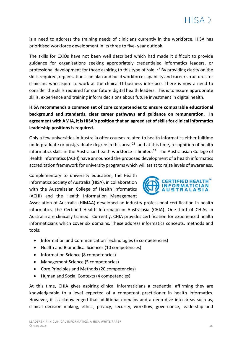is a need to address the training needs of clinicians currently in the workforce. HISA has prioritised workforce development in its three to five- year outlook.

The skills for CXIOs have not been well described which had made it difficult to provide guidance for organisations seeking appropriately credentialed informatics leaders, or professional development for those aspiring to this type of role. <sup>[27](#page-21-26)</sup> By providing clarity on the skills required, organisations can plan and build workforce capability and career structures for clinicians who aspire to work at the clinical-IT-business interface. There is now a need to consider the skills required for our future digital health leaders. This is to assure appropriate skills, experience and training inform decisions about future investment in digital health.

**HISA recommends a common set of core competencies to ensure comparable educational background and standards, clear career pathways and guidance on remuneration. In agreement with AMIA, it is HISA's position that an agreed set of skills for clinical informatics leadership positions is required.**

Only a few universities in Australia offer courses related to health informatics either fulltime undergraduate or postgraduate degree in this area <sup>28</sup> and at this time, recognition of health informatics skills in the Australian health workforce is limited.<sup>[29](#page-21-28)</sup> The Australasian College of Health Informatics (ACHI) have announced the proposed development of a health informatics accreditation framework for university programs which will assist to raise levels of awareness.

Complementary to university education, the Health Informatics Society of Australia (HISA), in collaboration with the Australasian College of Health Informatics (ACHI) and the Health Information Management



Association of Australia (HIMAA) developed an industry professional certification in health informatics, the Certified Health Informatician Australasia (CHIA). One-third of CHIAs in Australia are clinically trained. Currently, CHIA provides certification for experienced health informaticians which cover six domains. These address informatics concepts, methods and tools:

- Information and Communication Technologies (5 competencies)
- Health and Biomedical Sciences (10 competencies)
- Information Science (8 competencies)
- Management Science (5 competencies)
- Core Principles and Methods (20 competencies)
- Human and Social Contexts (4 competencies)

At this time, CHIA gives aspiring clinical informaticians a credential affirming they are knowledgeable to a level expected of a competent practitioner in health informatics. However, it is acknowledged that additional domains and a deep dive into areas such as, clinical decision making, ethics, privacy, security, workflow, governance, leadership and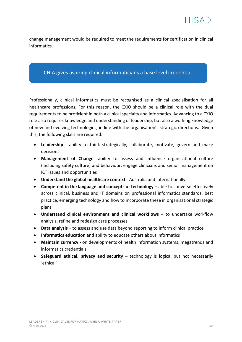

change management would be required to meet the requirements for certification in clinical informatics.

#### CHIA gives aspiring clinical informaticians a base level credential.

Professionally, clinical informatics must be recognised as a clinical specialisation for all healthcare professions. For this reason, the CXIO should be a clinical role with the dual requirements to be proficient in both a clinical specialty and informatics. Advancing to a CXIO role also requires knowledge and understanding of leadership, but also a working knowledge of new and evolving technologies, in line with the organisation's strategic directions. Given this, the following skills are required:

- **Leadership** ability to think strategically, collaborate, motivate, govern and make decisions
- **Management of Change** ability to assess and influence organisational culture (including safety culture) and behaviour, engage clinicians and senior management on ICT issues and opportunities
- **Understand the global healthcare context** Australia and internationally
- **Competent in the language and concepts of technology** able to converse effectively across clinical, business and IT domains on professional informatics standards, best practice, emerging technology and how to incorporate these in organisational strategic plans
- **Understand clinical environment and clinical workflows** to undertake workflow analysis, refine and redesign care processes
- **Data analysis**  to assess and use data beyond reporting to inform clinical practice
- **Informatics education** and ability to educate others about informatics
- **Maintain currency -** on developments of health information systems, megatrends and informatics credentials.
- **Safeguard ethical, privacy and security –** technology is logical but not necessarily 'ethical'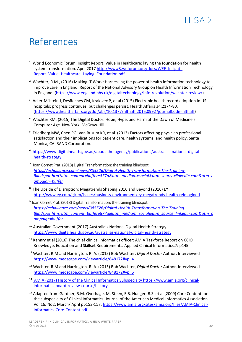### References

- <sup>1</sup> World Economic Forum. Insight Report: Value in Healthcare: laying the foundation for health system transformation. April 2017 http://www3.weforum.org/docs/WEF\_Insight Report Value Healthcare Laying Foundation.pdf
- <sup>2</sup> Wachter, R.M., (2016) Making IT Work: Harnessing the power of health information technology to improve care in England. Report of the National Advisory Group on Health Information Technology in England. [\(https://www.england.nhs.uk/digitaltechnology/info-revolution/wachter-review/\)](https://www.england.nhs.uk/digitaltechnology/info-revolution/wachter-review/)
- <sup>3</sup> Adler-Milstein J, DesRoches CM, Kralovec P, et al (2015) Electronic health record adoption In US hospitals: progress continues, but challenges persist. Health Affairs 34:2174-80. [\(https://www.healthaffairs.org/doi/abs/10.1377/hlthaff.2015.0992?journalCode=hlthaff\)](https://www.healthaffairs.org/doi/abs/10.1377/hlthaff.2015.0992?journalCode=hlthaff)
- <sup>4</sup> Wachter RM. (2015) The Digital Doctor: Hope, Hype, and Harm at the Dawn of Medicine's Computer Age. New York: McGraw-Hill.
- <sup>5</sup> Friedberg MW, Chen PG, Van Busum KR, et al. (2013) Factors affecting physician professional satisfaction and their implications for patient care, health systems, and health policy. Santa Monica, CA: RAND Corporation.
- <sup>6</sup> https://www.digitalhealth.gov.au/about-the-agency/publications/australias-national-digitalhealth-strategy
- *<sup>7</sup>* Joan Cornet Prat. (2018) Digital Transformation: the training blindspot. *[https://echalliance.com/news/385526/Digital-Health-Transformation-The-Training-](https://echalliance.com/news/385526/Digital-Health-Transformation-The-Training-Blindspot.htm?utm_content=buffere877a&utm_medium=social&utm_source=linkedin.com&utm_campaign=buffer)[Blindspot.htm?utm\\_content=buffere877a&utm\\_medium=social&utm\\_source=linkedin.com&utm\\_c](https://echalliance.com/news/385526/Digital-Health-Transformation-The-Training-Blindspot.htm?utm_content=buffere877a&utm_medium=social&utm_source=linkedin.com&utm_campaign=buffer) [ampaign=buffer](https://echalliance.com/news/385526/Digital-Health-Transformation-The-Training-Blindspot.htm?utm_content=buffere877a&utm_medium=social&utm_source=linkedin.com&utm_campaign=buffer)*
- <sup>8</sup> The Upside of Disruption: Megatrends Shaping 2016 and Beyond (2016) EY <http://www.ey.com/gl/en/issues/business-environment/ey-megatrends-health-reimagined>
- <sup>9</sup> Joan Cornet Prat. (2018) Digital Transformation: the training blindspot. *[https://echalliance.com/news/385526/Digital-Health-Transformation-The-Training-](https://echalliance.com/news/385526/Digital-Health-Transformation-The-Training-Blindspot.htm?utm_content=buffere877a&utm_medium=social&utm_source=linkedin.com&utm_campaign=buffer)[Blindspot.htm?utm\\_content=buffere877a&utm\\_medium=social&utm\\_source=linkedin.com&utm\\_c](https://echalliance.com/news/385526/Digital-Health-Transformation-The-Training-Blindspot.htm?utm_content=buffere877a&utm_medium=social&utm_source=linkedin.com&utm_campaign=buffer) [ampaign=buffer](https://echalliance.com/news/385526/Digital-Health-Transformation-The-Training-Blindspot.htm?utm_content=buffere877a&utm_medium=social&utm_source=linkedin.com&utm_campaign=buffer)*
- <sup>10</sup> Australian Government (2017) Australia's National Digital Health Strategy. <https://www.digitalhealth.gov.au/australias-national-digital-health-strategy>
- <sup>11</sup> Kannry et al (2016) The chief clinical informatics officer: AMIA Taskforce Report on CCIO Knowledge, Education and Skillset Requirements. Applied Clinical Informatics.7: p145
- <sup>12</sup> Wachter, R.M and Harrington, R. A. (2015) Bob Wachter, *Digital Doctor* Author, Interviewed [https://www.medscape.com/viewarticle/848172#vp\\_4](https://www.medscape.com/viewarticle/848172#vp_4)
- <sup>13</sup> Wachter, R.M and Harrington, R. A. (2015) Bob Wachter, *Digital Doctor* Author, Interviewed [https://www.medscape.com/viewarticle/848172#vp\\_6](https://www.medscape.com/viewarticle/848172#vp_6)
- <sup>14</sup> AMIA (2017) History of the Clinical Informatics Subspecialty https://www.amia.org/clinicalinformatics-board-review-course/history
- <sup>15</sup> Adapted from Gardner, R.M. Overhage, M. Steen, E.B. Nunger, B.S. et al (2009) Core Content for the subspecialty of Clinical Informatics. Journal of the American Medical Informatics Association. Vol 16. No2: March/ April pp153-157. [https://www.amia.org/sites/amia.org/files/AMIA-Clinical-](https://www.amia.org/sites/amia.org/files/AMIA-Clinical-Informatics-Core-Content.pdf)[Informatics-Core-Content.pdf](https://www.amia.org/sites/amia.org/files/AMIA-Clinical-Informatics-Core-Content.pdf)